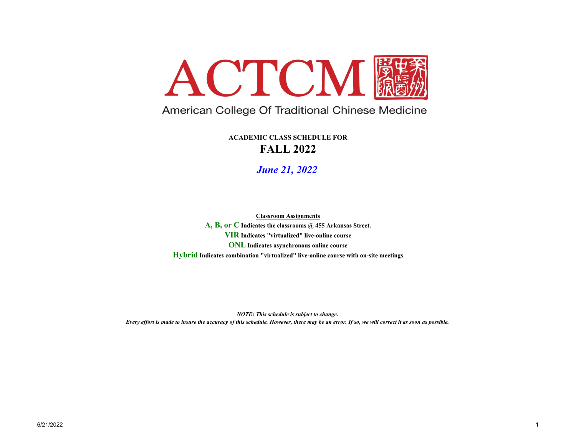

## American College Of Traditional Chinese Medicine

**FALL 2022ACADEMIC CLASS SCHEDULE FOR**

*June 21, 2022*

**ONL Indicates asynchronous online course Hybrid Indicates combination "virtualized" live-online course with on-site meetings A, B, or C Indicates the classrooms @ 455 Arkansas Street. VIR Indicates "virtualized" live-online courseClassroom Assignments**

*NOTE: This schedule is subject to change. Every effort is made to insure the accuracy of this schedule. However, there may be an error. If so, we will correct it as soon as possible.*